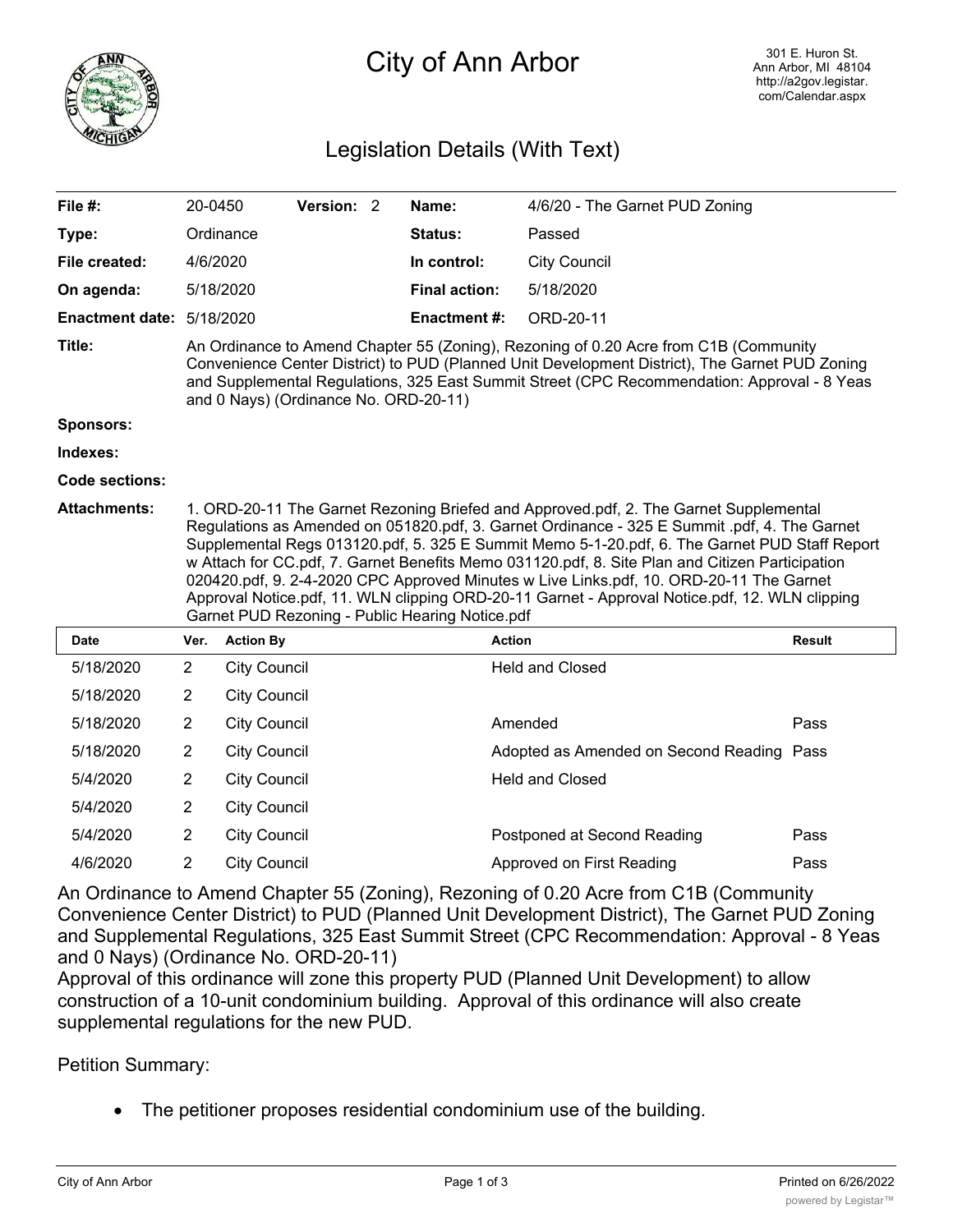

## City of Ann Arbor

## Legislation Details (With Text)

| File #:                   | 20-0450                                                                                                                                                                                                                                                                                                                                                                                                                                                                                                                                                                                                                                   |                     | Version: 2 |  | Name:                | 4/6/20 - The Garnet PUD Zoning            |               |
|---------------------------|-------------------------------------------------------------------------------------------------------------------------------------------------------------------------------------------------------------------------------------------------------------------------------------------------------------------------------------------------------------------------------------------------------------------------------------------------------------------------------------------------------------------------------------------------------------------------------------------------------------------------------------------|---------------------|------------|--|----------------------|-------------------------------------------|---------------|
| Type:                     |                                                                                                                                                                                                                                                                                                                                                                                                                                                                                                                                                                                                                                           | Ordinance           |            |  | Status:              | Passed                                    |               |
| File created:             | 4/6/2020                                                                                                                                                                                                                                                                                                                                                                                                                                                                                                                                                                                                                                  |                     |            |  | In control:          | <b>City Council</b>                       |               |
| On agenda:                |                                                                                                                                                                                                                                                                                                                                                                                                                                                                                                                                                                                                                                           | 5/18/2020           |            |  | <b>Final action:</b> | 5/18/2020                                 |               |
| Enactment date: 5/18/2020 |                                                                                                                                                                                                                                                                                                                                                                                                                                                                                                                                                                                                                                           |                     |            |  | <b>Enactment #:</b>  | ORD-20-11                                 |               |
| Title:                    | An Ordinance to Amend Chapter 55 (Zoning), Rezoning of 0.20 Acre from C1B (Community<br>Convenience Center District) to PUD (Planned Unit Development District), The Garnet PUD Zoning<br>and Supplemental Regulations, 325 East Summit Street (CPC Recommendation: Approval - 8 Yeas<br>and 0 Nays) (Ordinance No. ORD-20-11)                                                                                                                                                                                                                                                                                                            |                     |            |  |                      |                                           |               |
| <b>Sponsors:</b>          |                                                                                                                                                                                                                                                                                                                                                                                                                                                                                                                                                                                                                                           |                     |            |  |                      |                                           |               |
| Indexes:                  |                                                                                                                                                                                                                                                                                                                                                                                                                                                                                                                                                                                                                                           |                     |            |  |                      |                                           |               |
| <b>Code sections:</b>     |                                                                                                                                                                                                                                                                                                                                                                                                                                                                                                                                                                                                                                           |                     |            |  |                      |                                           |               |
| <b>Attachments:</b>       | 1. ORD-20-11 The Garnet Rezoning Briefed and Approved.pdf, 2. The Garnet Supplemental<br>Regulations as Amended on 051820.pdf, 3. Garnet Ordinance - 325 E Summit .pdf, 4. The Garnet<br>Supplemental Regs 013120.pdf, 5. 325 E Summit Memo 5-1-20.pdf, 6. The Garnet PUD Staff Report<br>w Attach for CC.pdf, 7. Garnet Benefits Memo 031120.pdf, 8. Site Plan and Citizen Participation<br>020420.pdf, 9. 2-4-2020 CPC Approved Minutes w Live Links.pdf, 10. ORD-20-11 The Garnet<br>Approval Notice.pdf, 11. WLN clipping ORD-20-11 Garnet - Approval Notice.pdf, 12. WLN clipping<br>Garnet PUD Rezoning - Public Hearing Notice.pdf |                     |            |  |                      |                                           |               |
| <b>Date</b>               | Ver.                                                                                                                                                                                                                                                                                                                                                                                                                                                                                                                                                                                                                                      | <b>Action By</b>    |            |  |                      | <b>Action</b>                             | <b>Result</b> |
| 5/18/2020                 | $\overline{2}$                                                                                                                                                                                                                                                                                                                                                                                                                                                                                                                                                                                                                            | <b>City Council</b> |            |  |                      | <b>Held and Closed</b>                    |               |
| 5/18/2020                 | $\overline{2}$                                                                                                                                                                                                                                                                                                                                                                                                                                                                                                                                                                                                                            | <b>City Council</b> |            |  |                      |                                           |               |
| 5/18/2020                 | $\overline{2}$                                                                                                                                                                                                                                                                                                                                                                                                                                                                                                                                                                                                                            | <b>City Council</b> |            |  |                      | Amended                                   | Pass          |
| 5/18/2020                 | $\overline{2}$                                                                                                                                                                                                                                                                                                                                                                                                                                                                                                                                                                                                                            | <b>City Council</b> |            |  |                      | Adopted as Amended on Second Reading Pass |               |
| 5/4/2020                  | $\overline{2}$                                                                                                                                                                                                                                                                                                                                                                                                                                                                                                                                                                                                                            | <b>City Council</b> |            |  |                      | <b>Held and Closed</b>                    |               |
| 5/4/2020                  | $\overline{2}$                                                                                                                                                                                                                                                                                                                                                                                                                                                                                                                                                                                                                            | <b>City Council</b> |            |  |                      |                                           |               |
| 5/4/2020                  | $\overline{2}$                                                                                                                                                                                                                                                                                                                                                                                                                                                                                                                                                                                                                            | <b>City Council</b> |            |  |                      | Postponed at Second Reading               | Pass          |
| 4/6/2020                  | $\overline{2}$                                                                                                                                                                                                                                                                                                                                                                                                                                                                                                                                                                                                                            | <b>City Council</b> |            |  |                      | Approved on First Reading                 | Pass          |

An Ordinance to Amend Chapter 55 (Zoning), Rezoning of 0.20 Acre from C1B (Community Convenience Center District) to PUD (Planned Unit Development District), The Garnet PUD Zoning and Supplemental Regulations, 325 East Summit Street (CPC Recommendation: Approval - 8 Yeas and 0 Nays) (Ordinance No. ORD-20-11)

Approval of this ordinance will zone this property PUD (Planned Unit Development) to allow construction of a 10-unit condominium building. Approval of this ordinance will also create supplemental regulations for the new PUD.

Petition Summary:

The petitioner proposes residential condominium use of the building.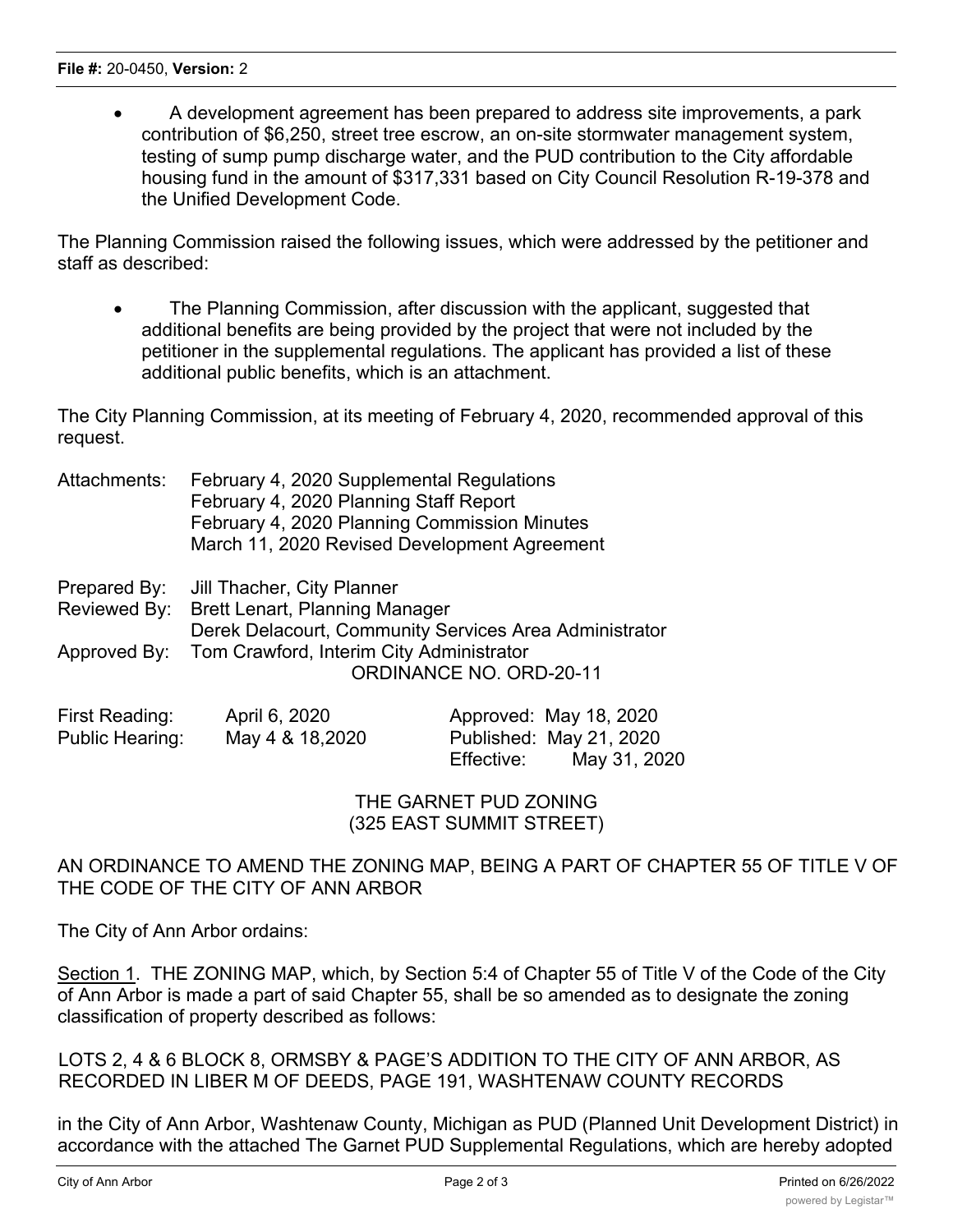· A development agreement has been prepared to address site improvements, a park contribution of \$6,250, street tree escrow, an on-site stormwater management system, testing of sump pump discharge water, and the PUD contribution to the City affordable housing fund in the amount of \$317,331 based on City Council Resolution R-19-378 and the Unified Development Code.

The Planning Commission raised the following issues, which were addressed by the petitioner and staff as described:

• The Planning Commission, after discussion with the applicant, suggested that additional benefits are being provided by the project that were not included by the petitioner in the supplemental regulations. The applicant has provided a list of these additional public benefits, which is an attachment.

The City Planning Commission, at its meeting of February 4, 2020, recommended approval of this request.

| Attachments: | February 4, 2020 Supplemental Regulations    |
|--------------|----------------------------------------------|
|              | February 4, 2020 Planning Staff Report       |
|              | February 4, 2020 Planning Commission Minutes |
|              | March 11, 2020 Revised Development Agreement |

| Prepared By: Jill Thacher, City Planner                |
|--------------------------------------------------------|
| Reviewed By: Brett Lenart, Planning Manager            |
| Derek Delacourt, Community Services Area Administrator |
| Approved By: Tom Crawford, Interim City Administrator  |
| ORDINANCE NO. ORD-20-11                                |
|                                                        |

| First Reading:  | April 6, 2020   | Approved: May 18, 2020     |
|-----------------|-----------------|----------------------------|
| Public Hearing: | May 4 & 18,2020 | Published: May 21, 2020    |
|                 |                 | Effective:<br>May 31, 2020 |

THE GARNET PUD ZONING (325 EAST SUMMIT STREET)

AN ORDINANCE TO AMEND THE ZONING MAP, BEING A PART OF CHAPTER 55 OF TITLE V OF THE CODE OF THE CITY OF ANN ARBOR

The City of Ann Arbor ordains:

Section 1. THE ZONING MAP, which, by Section 5:4 of Chapter 55 of Title V of the Code of the City of Ann Arbor is made a part of said Chapter 55, shall be so amended as to designate the zoning classification of property described as follows:

LOTS 2, 4 & 6 BLOCK 8, ORMSBY & PAGE'S ADDITION TO THE CITY OF ANN ARBOR, AS RECORDED IN LIBER M OF DEEDS, PAGE 191, WASHTENAW COUNTY RECORDS

in the City of Ann Arbor, Washtenaw County, Michigan as PUD (Planned Unit Development District) in accordance with the attached The Garnet PUD Supplemental Regulations, which are hereby adopted